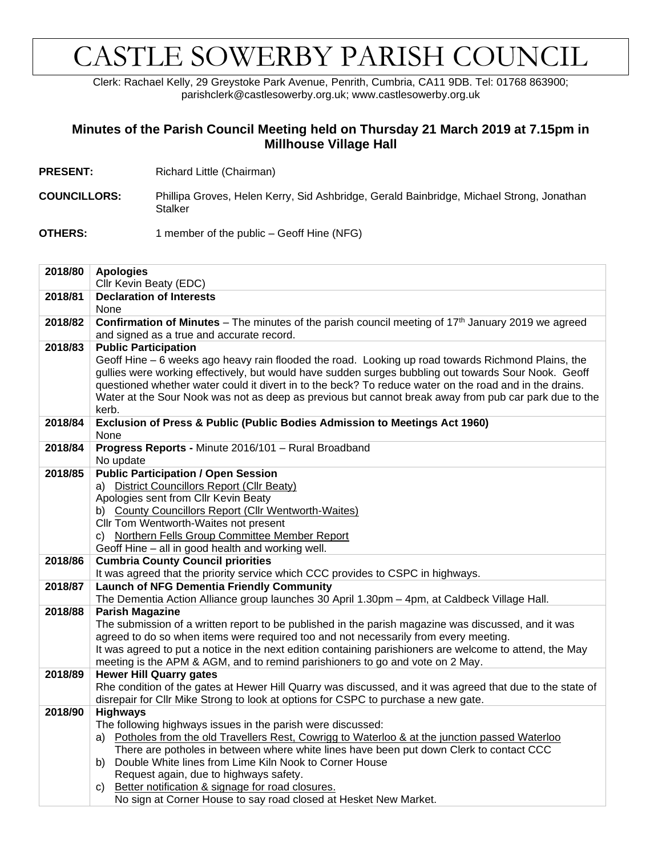## CASTLE SOWERBY PARISH COUNCIL

Clerk: Rachael Kelly, 29 Greystoke Park Avenue, Penrith, Cumbria, CA11 9DB. Tel: 01768 863900; parishclerk@castlesowerby.org.uk; www.castlesowerby.org.uk

## **Minutes of the Parish Council Meeting held on Thursday 21 March 2019 at 7.15pm in Millhouse Village Hall**

- **PRESENT:** Richard Little (Chairman)
- **COUNCILLORS:** Phillipa Groves, Helen Kerry, Sid Ashbridge, Gerald Bainbridge, Michael Strong, Jonathan **Stalker**
- **OTHERS:** 1 member of the public Geoff Hine (NFG)

| 2018/80 | <b>Apologies</b>                                                                                                                                                                                                 |  |  |  |  |  |  |  |  |  |
|---------|------------------------------------------------------------------------------------------------------------------------------------------------------------------------------------------------------------------|--|--|--|--|--|--|--|--|--|
|         | Cllr Kevin Beaty (EDC)                                                                                                                                                                                           |  |  |  |  |  |  |  |  |  |
| 2018/81 | <b>Declaration of Interests</b>                                                                                                                                                                                  |  |  |  |  |  |  |  |  |  |
|         | None                                                                                                                                                                                                             |  |  |  |  |  |  |  |  |  |
| 2018/82 | <b>Confirmation of Minutes</b> – The minutes of the parish council meeting of $17th$ January 2019 we agreed                                                                                                      |  |  |  |  |  |  |  |  |  |
|         | and signed as a true and accurate record.                                                                                                                                                                        |  |  |  |  |  |  |  |  |  |
| 2018/83 | <b>Public Participation</b>                                                                                                                                                                                      |  |  |  |  |  |  |  |  |  |
|         | Geoff Hine - 6 weeks ago heavy rain flooded the road. Looking up road towards Richmond Plains, the                                                                                                               |  |  |  |  |  |  |  |  |  |
|         | gullies were working effectively, but would have sudden surges bubbling out towards Sour Nook. Geoff                                                                                                             |  |  |  |  |  |  |  |  |  |
|         | questioned whether water could it divert in to the beck? To reduce water on the road and in the drains.<br>Water at the Sour Nook was not as deep as previous but cannot break away from pub car park due to the |  |  |  |  |  |  |  |  |  |
|         | kerb.                                                                                                                                                                                                            |  |  |  |  |  |  |  |  |  |
| 2018/84 | Exclusion of Press & Public (Public Bodies Admission to Meetings Act 1960)                                                                                                                                       |  |  |  |  |  |  |  |  |  |
|         | None                                                                                                                                                                                                             |  |  |  |  |  |  |  |  |  |
| 2018/84 | Progress Reports - Minute 2016/101 - Rural Broadband                                                                                                                                                             |  |  |  |  |  |  |  |  |  |
|         | No update                                                                                                                                                                                                        |  |  |  |  |  |  |  |  |  |
| 2018/85 | <b>Public Participation / Open Session</b>                                                                                                                                                                       |  |  |  |  |  |  |  |  |  |
|         | a) District Councillors Report (Cllr Beaty)                                                                                                                                                                      |  |  |  |  |  |  |  |  |  |
|         | Apologies sent from Cllr Kevin Beaty                                                                                                                                                                             |  |  |  |  |  |  |  |  |  |
|         | b) County Councillors Report (Cllr Wentworth-Waites)                                                                                                                                                             |  |  |  |  |  |  |  |  |  |
|         | Cllr Tom Wentworth-Waites not present                                                                                                                                                                            |  |  |  |  |  |  |  |  |  |
|         | c) Northern Fells Group Committee Member Report                                                                                                                                                                  |  |  |  |  |  |  |  |  |  |
|         | Geoff Hine - all in good health and working well.                                                                                                                                                                |  |  |  |  |  |  |  |  |  |
| 2018/86 | <b>Cumbria County Council priorities</b>                                                                                                                                                                         |  |  |  |  |  |  |  |  |  |
|         | It was agreed that the priority service which CCC provides to CSPC in highways.                                                                                                                                  |  |  |  |  |  |  |  |  |  |
| 2018/87 | <b>Launch of NFG Dementia Friendly Community</b>                                                                                                                                                                 |  |  |  |  |  |  |  |  |  |
| 2018/88 | The Dementia Action Alliance group launches 30 April 1.30pm - 4pm, at Caldbeck Village Hall.<br><b>Parish Magazine</b>                                                                                           |  |  |  |  |  |  |  |  |  |
|         | The submission of a written report to be published in the parish magazine was discussed, and it was                                                                                                              |  |  |  |  |  |  |  |  |  |
|         | agreed to do so when items were required too and not necessarily from every meeting.                                                                                                                             |  |  |  |  |  |  |  |  |  |
|         | It was agreed to put a notice in the next edition containing parishioners are welcome to attend, the May                                                                                                         |  |  |  |  |  |  |  |  |  |
|         | meeting is the APM & AGM, and to remind parishioners to go and vote on 2 May.                                                                                                                                    |  |  |  |  |  |  |  |  |  |
| 2018/89 | <b>Hewer Hill Quarry gates</b>                                                                                                                                                                                   |  |  |  |  |  |  |  |  |  |
|         | Rhe condition of the gates at Hewer Hill Quarry was discussed, and it was agreed that due to the state of                                                                                                        |  |  |  |  |  |  |  |  |  |
|         | disrepair for Cllr Mike Strong to look at options for CSPC to purchase a new gate.                                                                                                                               |  |  |  |  |  |  |  |  |  |
| 2018/90 | <b>Highways</b>                                                                                                                                                                                                  |  |  |  |  |  |  |  |  |  |
|         | The following highways issues in the parish were discussed:                                                                                                                                                      |  |  |  |  |  |  |  |  |  |
|         | Potholes from the old Travellers Rest, Cowrigg to Waterloo & at the junction passed Waterloo<br>a)                                                                                                               |  |  |  |  |  |  |  |  |  |
|         | There are potholes in between where white lines have been put down Clerk to contact CCC                                                                                                                          |  |  |  |  |  |  |  |  |  |
|         | Double White lines from Lime Kiln Nook to Corner House<br>b)                                                                                                                                                     |  |  |  |  |  |  |  |  |  |
|         | Request again, due to highways safety.                                                                                                                                                                           |  |  |  |  |  |  |  |  |  |
|         | Better notification & signage for road closures.<br>C)                                                                                                                                                           |  |  |  |  |  |  |  |  |  |
|         | No sign at Corner House to say road closed at Hesket New Market.                                                                                                                                                 |  |  |  |  |  |  |  |  |  |